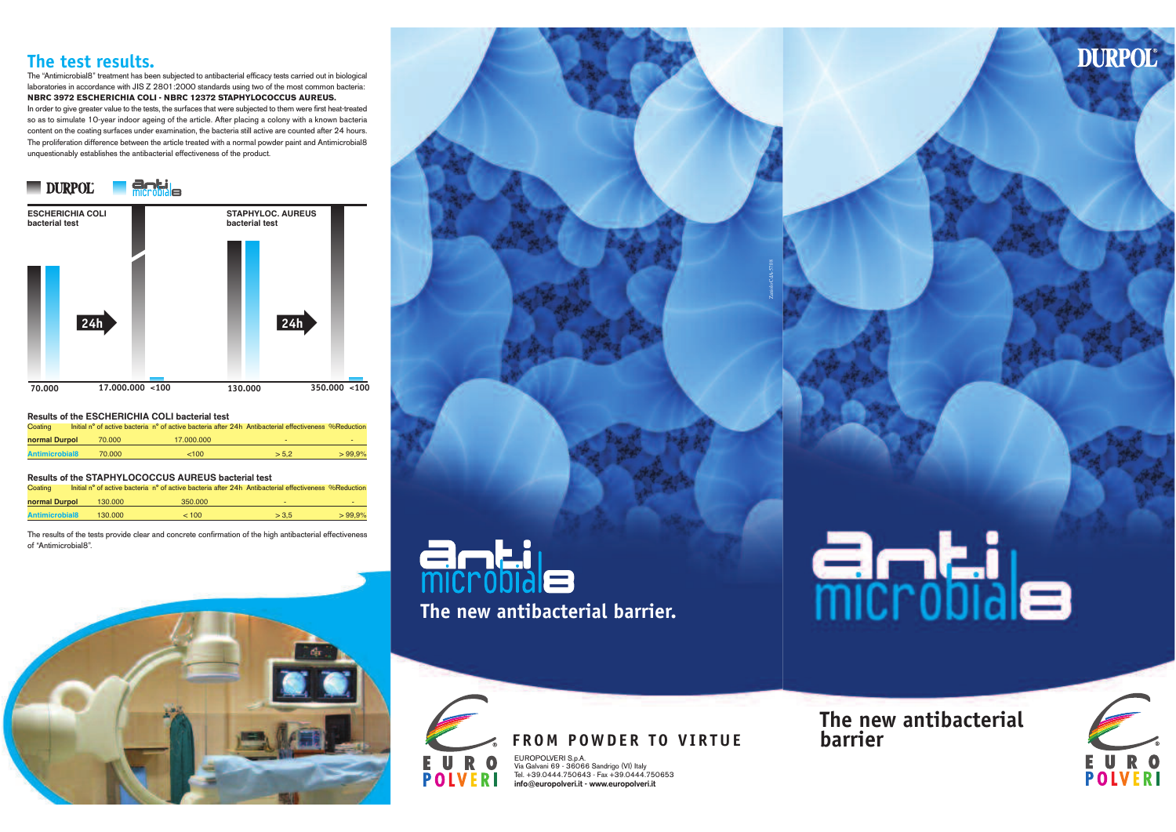### **The test results.**

The "Antimicrobial8" treatment has been subjected to antibacterial efficacy tests carried out in biological laboratories in accordance with JIS Z 2801:2000 standards using two of the most common bacteria: **NBRC <sup>3972</sup> ESCHERICHIA COLI - NBRC <sup>12372</sup> STAPHYLOCOCCUS AUREUS.** In order to give greater value to the tests, the surfaces that were subjected to them were first heat-treated so as to simulate 10-year indoor ageing of the article. After <sup>p</sup>lacing <sup>a</sup> colony with <sup>a</sup> known bacteria content on the coating surfaces under examination, the bacteria still active are counted after 24 hours. The proliferation difference between the article treated with <sup>a</sup> normal powder paint and Antimicrobial8unquestionably establishes the antibacterial effectiveness of the product.



| Results of the ESCHERICHIA COLI bacterial test |  |        |                                                                                                      |       |           |  |  |  |  |  |
|------------------------------------------------|--|--------|------------------------------------------------------------------------------------------------------|-------|-----------|--|--|--|--|--|
| Coating                                        |  |        | Initial n° of active bacteria n° of active bacteria after 24h Antibacterial effectiveness %Reduction |       |           |  |  |  |  |  |
| normal Durpol                                  |  | 70,000 | 17,000,000                                                                                           | ۰     | ٠         |  |  |  |  |  |
| <b>Antimicrobial8</b>                          |  | 70.000 | <100                                                                                                 | > 5.2 | $>99.9\%$ |  |  |  |  |  |
|                                                |  |        |                                                                                                      |       |           |  |  |  |  |  |

| Results of the STAPHYLOCOCCUS AUREUS bacterial test |  |         |                                                                                                      |       |           |  |  |  |  |  |
|-----------------------------------------------------|--|---------|------------------------------------------------------------------------------------------------------|-------|-----------|--|--|--|--|--|
| Coating                                             |  |         | Initial n° of active bacteria n° of active bacteria after 24h Antibacterial effectiveness %Reduction |       |           |  |  |  |  |  |
| normal Durpol                                       |  | 130,000 | 350,000                                                                                              | ۰     | ۰         |  |  |  |  |  |
| <b>Antimicrobial8</b>                               |  | 130,000 | < 100                                                                                                | > 3.5 | $>99.9\%$ |  |  |  |  |  |
|                                                     |  |         |                                                                                                      |       |           |  |  |  |  |  |

The results of the tests provide clear and concrete confirmation of the high antibacterial effectivenessof "Antimicrobial8".







## **FROM POWDER TO VIRTUE**

EUROPOLVERI S.p.A. Via Galvani <sup>69</sup> - <sup>36066</sup> Sandrigo (VI) Italy Tel. +39.0444.750643 - Fax +39.0444.750653info@europolveri.it - www.europolveri.it

**Antile** 

Zaniolo CdA-57.08

## **The new antibacterial barrier**



**DURPOL**